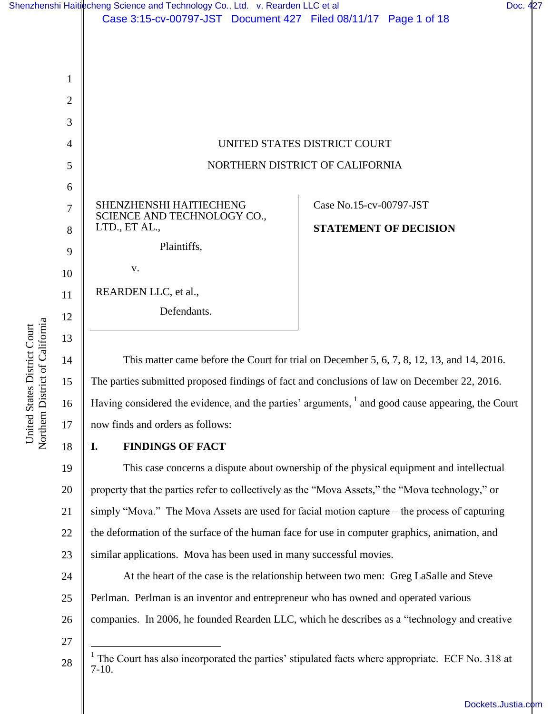|                                                                                         | 1  |                                                                                                              |
|-----------------------------------------------------------------------------------------|----|--------------------------------------------------------------------------------------------------------------|
|                                                                                         | 2  |                                                                                                              |
|                                                                                         | 3  |                                                                                                              |
|                                                                                         | 4  | UNITED STATES DISTRICT COURT                                                                                 |
|                                                                                         | 5  | NORTHERN DISTRICT OF CALIFORNIA                                                                              |
|                                                                                         | 6  |                                                                                                              |
|                                                                                         | 7  | Case No.15-cv-00797-JST<br>SHENZHENSHI HAITIECHENG                                                           |
|                                                                                         | 8  | SCIENCE AND TECHNOLOGY CO.,<br>LTD., ET AL.,<br><b>STATEMENT OF DECISION</b>                                 |
|                                                                                         | 9  | Plaintiffs,                                                                                                  |
|                                                                                         | 10 | V.                                                                                                           |
|                                                                                         | 11 | REARDEN LLC, et al.,                                                                                         |
|                                                                                         | 12 | Defendants.                                                                                                  |
|                                                                                         | 13 |                                                                                                              |
|                                                                                         | 14 | This matter came before the Court for trial on December 5, 6, 7, 8, 12, 13, and 14, 2016.                    |
|                                                                                         | 15 | The parties submitted proposed findings of fact and conclusions of law on December 22, 2016.                 |
| rthem District of California<br>nited States District Court<br>$\Box$<br>$\overline{S}$ | 16 | Having considered the evidence, and the parties' arguments, <sup>1</sup> and good cause appearing, the Court |
|                                                                                         | 17 | now finds and orders as follows:                                                                             |
|                                                                                         | 18 | I.<br><b>FINDINGS OF FACT</b>                                                                                |
|                                                                                         | 19 | This case concerns a dispute about ownership of the physical equipment and intellectual                      |
|                                                                                         | 20 | property that the parties refer to collectively as the "Mova Assets," the "Mova technology," or              |
|                                                                                         | 21 | simply "Mova." The Mova Assets are used for facial motion capture – the process of capturing                 |
|                                                                                         | 22 | the deformation of the surface of the human face for use in computer graphics, animation, and                |
|                                                                                         | 23 | similar applications. Mova has been used in many successful movies.                                          |
|                                                                                         | 24 | At the heart of the case is the relationship between two men: Greg LaSalle and Steve                         |
|                                                                                         | 25 | Perlman. Perlman is an inventor and entrepreneur who has owned and operated various                          |
|                                                                                         | 26 | companies. In 2006, he founded Rearden LLC, which he describes as a "technology and creative                 |
|                                                                                         | 27 | The Court has also incorporated the parties' stipulated facts where appropriate. ECF No. 318 at              |
|                                                                                         | 28 | $7-10.$                                                                                                      |
|                                                                                         |    | Dockets.Justia.com                                                                                           |
|                                                                                         |    |                                                                                                              |

Case 3:15-cv-00797-JST Document 427 Filed 08/11/17 Page 1 of 18

[Shenzhenshi Haitiecheng Science and Technology Co., Ltd. v. Rearden LLC et al](https://dockets.justia.com/docket/california/candce/3:2015cv00797/284970/) [Doc. 427](https://docs.justia.com/cases/federal/district-courts/california/candce/3:2015cv00797/284970/427/)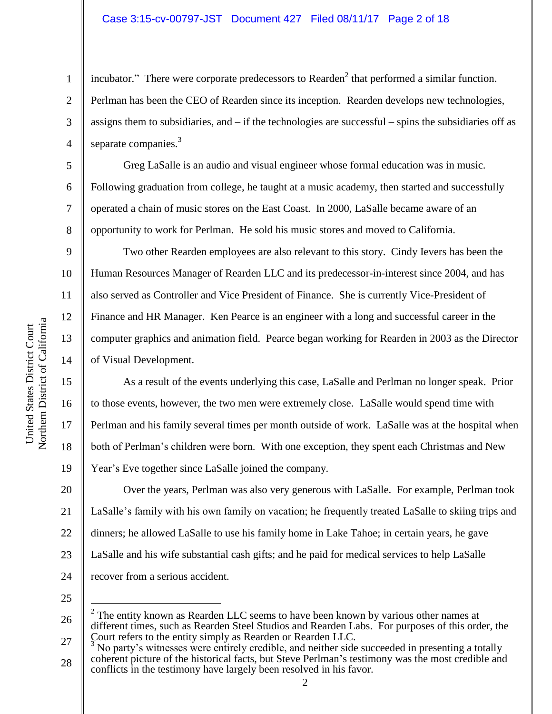## Case 3:15-cv-00797-JST Document 427 Filed 08/11/17 Page 2 of 18

incubator." There were corporate predecessors to Rearden<sup>2</sup> that performed a similar function. Perlman has been the CEO of Rearden since its inception. Rearden develops new technologies, assigns them to subsidiaries, and  $-$  if the technologies are successful  $-$  spins the subsidiaries off as separate companies.<sup>3</sup>

Greg LaSalle is an audio and visual engineer whose formal education was in music. Following graduation from college, he taught at a music academy, then started and successfully operated a chain of music stores on the East Coast. In 2000, LaSalle became aware of an opportunity to work for Perlman. He sold his music stores and moved to California.

Two other Rearden employees are also relevant to this story. Cindy Ievers has been the Human Resources Manager of Rearden LLC and its predecessor-in-interest since 2004, and has also served as Controller and Vice President of Finance. She is currently Vice-President of Finance and HR Manager. Ken Pearce is an engineer with a long and successful career in the computer graphics and animation field. Pearce began working for Rearden in 2003 as the Director of Visual Development.

As a result of the events underlying this case, LaSalle and Perlman no longer speak. Prior to those events, however, the two men were extremely close. LaSalle would spend time with Perlman and his family several times per month outside of work. LaSalle was at the hospital when both of Perlman's children were born. With one exception, they spent each Christmas and New Year's Eve together since LaSalle joined the company.

20 21 22 23 24 Over the years, Perlman was also very generous with LaSalle. For example, Perlman took LaSalle's family with his own family on vacation; he frequently treated LaSalle to skiing trips and dinners; he allowed LaSalle to use his family home in Lake Tahoe; in certain years, he gave LaSalle and his wife substantial cash gifts; and he paid for medical services to help LaSalle recover from a serious accident.

25

 $\overline{a}$ 

1

2

3

4

5

6

7

8

9

10

11

12

13

14

15

16

17

18

19

<sup>26</sup>  $2^2$  The entity known as Rearden LLC seems to have been known by various other names at different times, such as Rearden Steel Studios and Rearden Labs. For purposes of this order, the Court refers to the entity simply as Rearden or Rearden LLC.

<sup>27</sup> 28 No party's witnesses were entirely credible, and neither side succeeded in presenting a totally coherent picture of the historical facts, but Steve Perlman's testimony was the most credible and conflicts in the testimony have largely been resolved in his favor.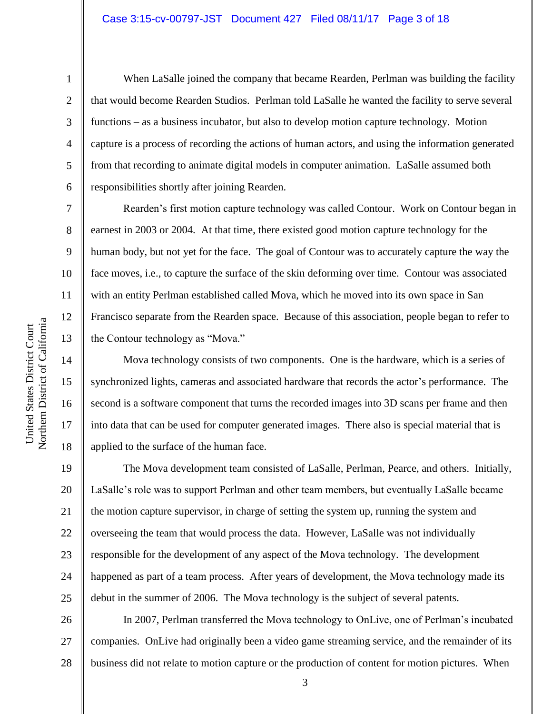#### Case 3:15-cv-00797-JST Document 427 Filed 08/11/17 Page 3 of 18

1

2

3

4

5

6

7

8

9

10

11

12

13

14

15

16

17

18

When LaSalle joined the company that became Rearden, Perlman was building the facility that would become Rearden Studios. Perlman told LaSalle he wanted the facility to serve several functions – as a business incubator, but also to develop motion capture technology. Motion capture is a process of recording the actions of human actors, and using the information generated from that recording to animate digital models in computer animation. LaSalle assumed both responsibilities shortly after joining Rearden.

Rearden's first motion capture technology was called Contour. Work on Contour began in earnest in 2003 or 2004. At that time, there existed good motion capture technology for the human body, but not yet for the face. The goal of Contour was to accurately capture the way the face moves, i.e., to capture the surface of the skin deforming over time. Contour was associated with an entity Perlman established called Mova, which he moved into its own space in San Francisco separate from the Rearden space. Because of this association, people began to refer to the Contour technology as "Mova."

Mova technology consists of two components. One is the hardware, which is a series of synchronized lights, cameras and associated hardware that records the actor's performance. The second is a software component that turns the recorded images into 3D scans per frame and then into data that can be used for computer generated images. There also is special material that is applied to the surface of the human face.

19 20 21 22 23 24 25 The Mova development team consisted of LaSalle, Perlman, Pearce, and others. Initially, LaSalle's role was to support Perlman and other team members, but eventually LaSalle became the motion capture supervisor, in charge of setting the system up, running the system and overseeing the team that would process the data. However, LaSalle was not individually responsible for the development of any aspect of the Mova technology. The development happened as part of a team process. After years of development, the Mova technology made its debut in the summer of 2006. The Mova technology is the subject of several patents.

26 27 28 In 2007, Perlman transferred the Mova technology to OnLive, one of Perlman's incubated companies. OnLive had originally been a video game streaming service, and the remainder of its business did not relate to motion capture or the production of content for motion pictures. When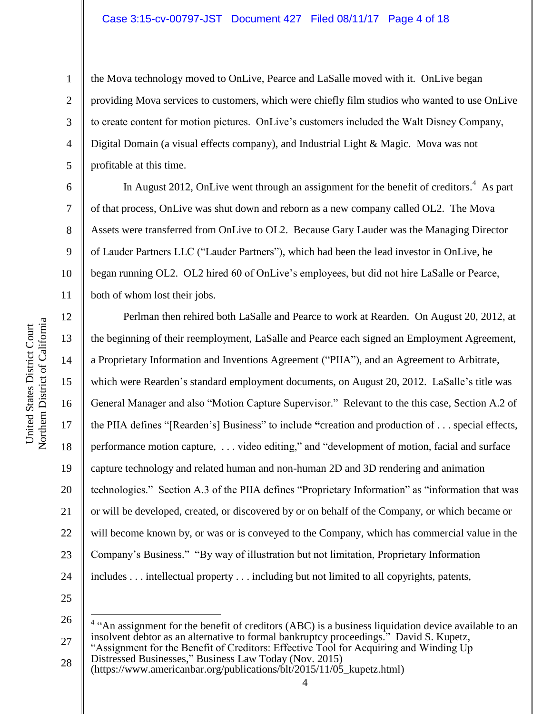the Mova technology moved to OnLive, Pearce and LaSalle moved with it. OnLive began providing Mova services to customers, which were chiefly film studios who wanted to use OnLive to create content for motion pictures. OnLive's customers included the Walt Disney Company, Digital Domain (a visual effects company), and Industrial Light & Magic. Mova was not profitable at this time.

In August 2012, OnLive went through an assignment for the benefit of creditors.<sup>4</sup> As part of that process, OnLive was shut down and reborn as a new company called OL2. The Mova Assets were transferred from OnLive to OL2. Because Gary Lauder was the Managing Director of Lauder Partners LLC ("Lauder Partners"), which had been the lead investor in OnLive, he began running OL2. OL2 hired 60 of OnLive's employees, but did not hire LaSalle or Pearce, both of whom lost their jobs.

Perlman then rehired both LaSalle and Pearce to work at Rearden. On August 20, 2012, at the beginning of their reemployment, LaSalle and Pearce each signed an Employment Agreement, a Proprietary Information and Inventions Agreement ("PIIA"), and an Agreement to Arbitrate, which were Rearden's standard employment documents, on August 20, 2012. LaSalle's title was General Manager and also "Motion Capture Supervisor." Relevant to the this case, Section A.2 of the PIIA defines "[Rearden's] Business" to include **"**creation and production of . . . special effects, performance motion capture, . . . video editing," and "development of motion, facial and surface capture technology and related human and non-human 2D and 3D rendering and animation technologies." Section A.3 of the PIIA defines "Proprietary Information" as "information that was or will be developed, created, or discovered by or on behalf of the Company, or which became or will become known by, or was or is conveyed to the Company, which has commercial value in the Company's Business." "By way of illustration but not limitation, Proprietary Information includes . . . intellectual property . . . including but not limited to all copyrights, patents,

25 26

 $\overline{a}$ 

28 Distressed Businesses," Business Law Today (Nov. 2015) (https://www.americanbar.org/publications/blt/2015/11/05\_kupetz.html)

1

2

3

4

5

6

7

8

9

10

11

12

13

14

15

16

17

18

19

20

21

22

23

24

<sup>27</sup>  $4$  "An assignment for the benefit of creditors (ABC) is a business liquidation device available to an insolvent debtor as an alternative to formal bankruptcy proceedings." David S. Kupetz, "Assignment for the Benefit of Creditors: Effective Tool for Acquiring and Winding Up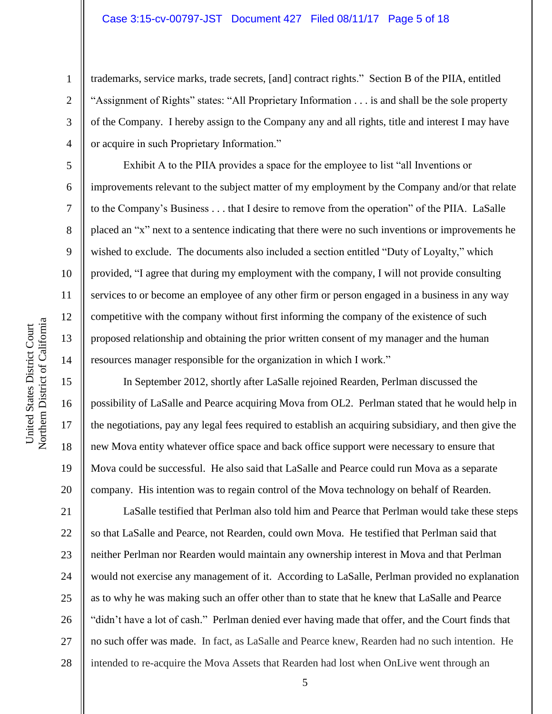trademarks, service marks, trade secrets, [and] contract rights." Section B of the PIIA, entitled "Assignment of Rights" states: "All Proprietary Information . . . is and shall be the sole property of the Company. I hereby assign to the Company any and all rights, title and interest I may have or acquire in such Proprietary Information."

Exhibit A to the PIIA provides a space for the employee to list "all Inventions or improvements relevant to the subject matter of my employment by the Company and/or that relate to the Company's Business . . . that I desire to remove from the operation" of the PIIA. LaSalle placed an "x" next to a sentence indicating that there were no such inventions or improvements he wished to exclude. The documents also included a section entitled "Duty of Loyalty," which provided, "I agree that during my employment with the company, I will not provide consulting services to or become an employee of any other firm or person engaged in a business in any way competitive with the company without first informing the company of the existence of such proposed relationship and obtaining the prior written consent of my manager and the human resources manager responsible for the organization in which I work."

In September 2012, shortly after LaSalle rejoined Rearden, Perlman discussed the possibility of LaSalle and Pearce acquiring Mova from OL2. Perlman stated that he would help in the negotiations, pay any legal fees required to establish an acquiring subsidiary, and then give the new Mova entity whatever office space and back office support were necessary to ensure that Mova could be successful. He also said that LaSalle and Pearce could run Mova as a separate company. His intention was to regain control of the Mova technology on behalf of Rearden.

LaSalle testified that Perlman also told him and Pearce that Perlman would take these steps so that LaSalle and Pearce, not Rearden, could own Mova. He testified that Perlman said that neither Perlman nor Rearden would maintain any ownership interest in Mova and that Perlman would not exercise any management of it. According to LaSalle, Perlman provided no explanation as to why he was making such an offer other than to state that he knew that LaSalle and Pearce "didn't have a lot of cash." Perlman denied ever having made that offer, and the Court finds that no such offer was made. In fact, as LaSalle and Pearce knew, Rearden had no such intention. He intended to re-acquire the Mova Assets that Rearden had lost when OnLive went through an

1

2

3

4

5

6

7

8

9

10

11

12

13

14

15

16

17

18

19

20

21

22

23

24

25

26

27

28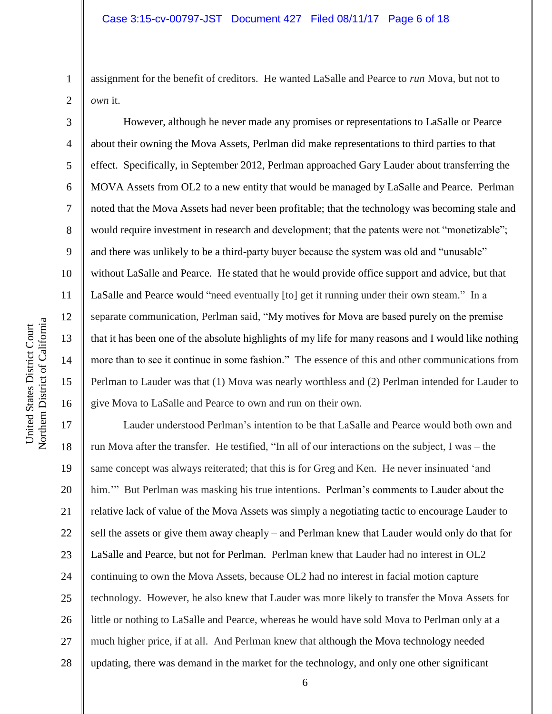assignment for the benefit of creditors. He wanted LaSalle and Pearce to *run* Mova, but not to *own* it.

However, although he never made any promises or representations to LaSalle or Pearce about their owning the Mova Assets, Perlman did make representations to third parties to that effect. Specifically, in September 2012, Perlman approached Gary Lauder about transferring the MOVA Assets from OL2 to a new entity that would be managed by LaSalle and Pearce. Perlman noted that the Mova Assets had never been profitable; that the technology was becoming stale and would require investment in research and development; that the patents were not "monetizable"; and there was unlikely to be a third-party buyer because the system was old and "unusable" without LaSalle and Pearce. He stated that he would provide office support and advice, but that LaSalle and Pearce would "need eventually [to] get it running under their own steam." In a separate communication, Perlman said, "My motives for Mova are based purely on the premise that it has been one of the absolute highlights of my life for many reasons and I would like nothing more than to see it continue in some fashion." The essence of this and other communications from Perlman to Lauder was that (1) Mova was nearly worthless and (2) Perlman intended for Lauder to give Mova to LaSalle and Pearce to own and run on their own.

17 18 19 20 21 22 23 24 25 26 27 28 Lauder understood Perlman's intention to be that LaSalle and Pearce would both own and run Mova after the transfer. He testified, "In all of our interactions on the subject, I was – the same concept was always reiterated; that this is for Greg and Ken. He never insinuated 'and him."" But Perlman was masking his true intentions. Perlman's comments to Lauder about the relative lack of value of the Mova Assets was simply a negotiating tactic to encourage Lauder to sell the assets or give them away cheaply – and Perlman knew that Lauder would only do that for LaSalle and Pearce, but not for Perlman. Perlman knew that Lauder had no interest in OL2 continuing to own the Mova Assets, because OL2 had no interest in facial motion capture technology. However, he also knew that Lauder was more likely to transfer the Mova Assets for little or nothing to LaSalle and Pearce, whereas he would have sold Mova to Perlman only at a much higher price, if at all. And Perlman knew that although the Mova technology needed updating, there was demand in the market for the technology, and only one other significant

1

2

3

4

5

6

7

8

9

10

11

12

13

14

15

16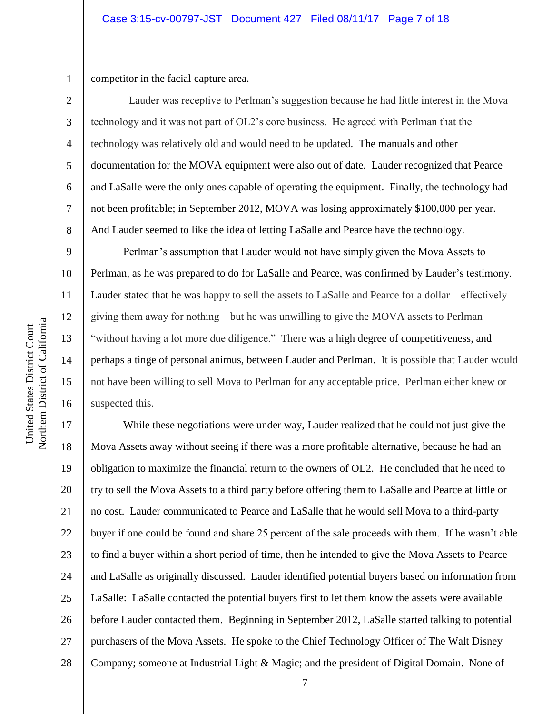competitor in the facial capture area.

1

2

3

4

5

6

7

8

9

10

11

12

13

14

15

16

 Lauder was receptive to Perlman's suggestion because he had little interest in the Mova technology and it was not part of OL2's core business. He agreed with Perlman that the technology was relatively old and would need to be updated. The manuals and other documentation for the MOVA equipment were also out of date. Lauder recognized that Pearce and LaSalle were the only ones capable of operating the equipment. Finally, the technology had not been profitable; in September 2012, MOVA was losing approximately \$100,000 per year. And Lauder seemed to like the idea of letting LaSalle and Pearce have the technology.

Perlman's assumption that Lauder would not have simply given the Mova Assets to Perlman, as he was prepared to do for LaSalle and Pearce, was confirmed by Lauder's testimony. Lauder stated that he was happy to sell the assets to LaSalle and Pearce for a dollar – effectively giving them away for nothing – but he was unwilling to give the MOVA assets to Perlman "without having a lot more due diligence." There was a high degree of competitiveness, and perhaps a tinge of personal animus, between Lauder and Perlman. It is possible that Lauder would not have been willing to sell Mova to Perlman for any acceptable price. Perlman either knew or suspected this.

17 18 19 20 21 22 23 24 25 26 27 28 While these negotiations were under way, Lauder realized that he could not just give the Mova Assets away without seeing if there was a more profitable alternative, because he had an obligation to maximize the financial return to the owners of OL2. He concluded that he need to try to sell the Mova Assets to a third party before offering them to LaSalle and Pearce at little or no cost. Lauder communicated to Pearce and LaSalle that he would sell Mova to a third-party buyer if one could be found and share 25 percent of the sale proceeds with them. If he wasn't able to find a buyer within a short period of time, then he intended to give the Mova Assets to Pearce and LaSalle as originally discussed. Lauder identified potential buyers based on information from LaSalle: LaSalle contacted the potential buyers first to let them know the assets were available before Lauder contacted them. Beginning in September 2012, LaSalle started talking to potential purchasers of the Mova Assets. He spoke to the Chief Technology Officer of The Walt Disney Company; someone at Industrial Light & Magic; and the president of Digital Domain. None of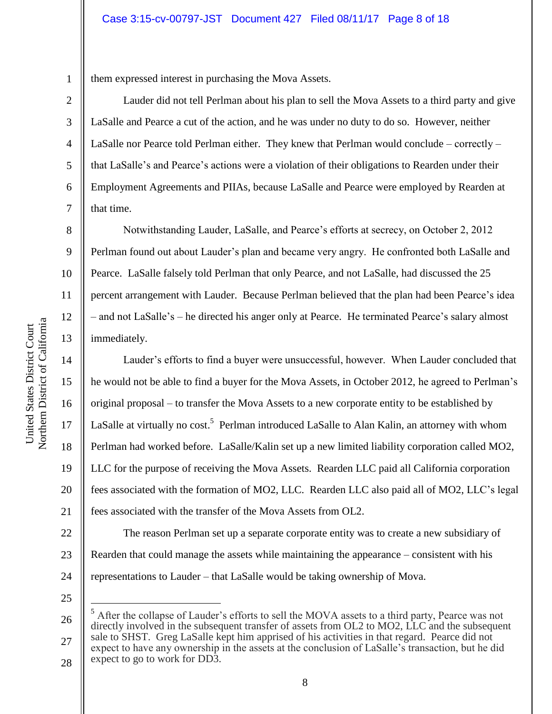1 them expressed interest in purchasing the Mova Assets.

Lauder did not tell Perlman about his plan to sell the Mova Assets to a third party and give LaSalle and Pearce a cut of the action, and he was under no duty to do so. However, neither LaSalle nor Pearce told Perlman either. They knew that Perlman would conclude – correctly – that LaSalle's and Pearce's actions were a violation of their obligations to Rearden under their Employment Agreements and PIIAs, because LaSalle and Pearce were employed by Rearden at that time.

Notwithstanding Lauder, LaSalle, and Pearce's efforts at secrecy, on October 2, 2012 Perlman found out about Lauder's plan and became very angry. He confronted both LaSalle and Pearce. LaSalle falsely told Perlman that only Pearce, and not LaSalle, had discussed the 25 percent arrangement with Lauder. Because Perlman believed that the plan had been Pearce's idea – and not LaSalle's – he directed his anger only at Pearce. He terminated Pearce's salary almost immediately.

Lauder's efforts to find a buyer were unsuccessful, however. When Lauder concluded that he would not be able to find a buyer for the Mova Assets, in October 2012, he agreed to Perlman's original proposal – to transfer the Mova Assets to a new corporate entity to be established by LaSalle at virtually no cost.<sup>5</sup> Perlman introduced LaSalle to Alan Kalin, an attorney with whom Perlman had worked before. LaSalle/Kalin set up a new limited liability corporation called MO2, LLC for the purpose of receiving the Mova Assets. Rearden LLC paid all California corporation fees associated with the formation of MO2, LLC. Rearden LLC also paid all of MO2, LLC's legal fees associated with the transfer of the Mova Assets from OL2.

22 23 24 The reason Perlman set up a separate corporate entity was to create a new subsidiary of Rearden that could manage the assets while maintaining the appearance – consistent with his representations to Lauder – that LaSalle would be taking ownership of Mova.

25

 $\overline{a}$ 

2

3

4

5

6

7

8

9

10

11

12

13

14

15

16

17

18

19

20

<sup>26</sup> 27 28 <sup>5</sup> After the collapse of Lauder's efforts to sell the MOVA assets to a third party, Pearce was not directly involved in the subsequent transfer of assets from OL2 to MO2, LLC and the subsequent sale to SHST. Greg LaSalle kept him apprised of his activities in that regard. Pearce did not expect to have any ownership in the assets at the conclusion of LaSalle's transaction, but he did expect to go to work for DD3.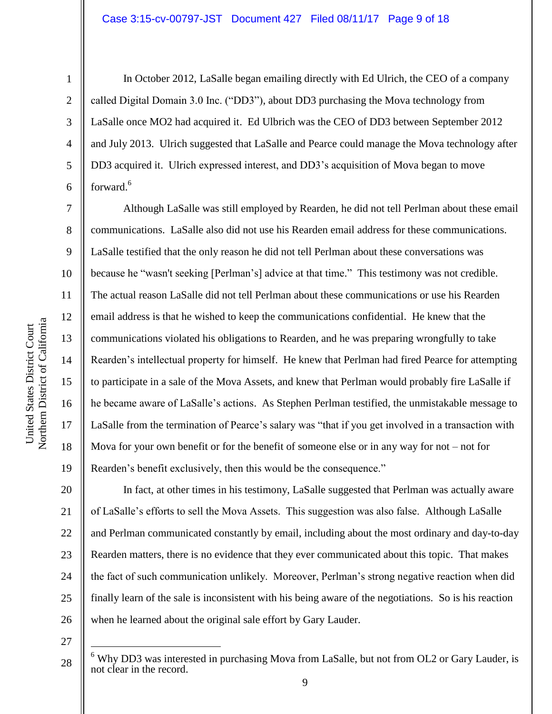1

2

3

4

5

6

7

8

9

14

15

16

17

18

19

In October 2012, LaSalle began emailing directly with Ed Ulrich, the CEO of a company called Digital Domain 3.0 Inc. ("DD3"), about DD3 purchasing the Mova technology from LaSalle once MO2 had acquired it. Ed Ulbrich was the CEO of DD3 between September 2012 and July 2013. Ulrich suggested that LaSalle and Pearce could manage the Mova technology after DD3 acquired it. Ulrich expressed interest, and DD3's acquisition of Mova began to move forward.<sup>6</sup>

Although LaSalle was still employed by Rearden, he did not tell Perlman about these email communications. LaSalle also did not use his Rearden email address for these communications. LaSalle testified that the only reason he did not tell Perlman about these conversations was because he "wasn't seeking [Perlman's] advice at that time." This testimony was not credible. The actual reason LaSalle did not tell Perlman about these communications or use his Rearden email address is that he wished to keep the communications confidential. He knew that the communications violated his obligations to Rearden, and he was preparing wrongfully to take Rearden's intellectual property for himself. He knew that Perlman had fired Pearce for attempting to participate in a sale of the Mova Assets, and knew that Perlman would probably fire LaSalle if he became aware of LaSalle's actions. As Stephen Perlman testified, the unmistakable message to LaSalle from the termination of Pearce's salary was "that if you get involved in a transaction with Mova for your own benefit or for the benefit of someone else or in any way for not  $-$  not for Rearden's benefit exclusively, then this would be the consequence."

20 21 22 23 24 25 26 In fact, at other times in his testimony, LaSalle suggested that Perlman was actually aware of LaSalle's efforts to sell the Mova Assets. This suggestion was also false. Although LaSalle and Perlman communicated constantly by email, including about the most ordinary and day-to-day Rearden matters, there is no evidence that they ever communicated about this topic. That makes the fact of such communication unlikely. Moreover, Perlman's strong negative reaction when did finally learn of the sale is inconsistent with his being aware of the negotiations. So is his reaction when he learned about the original sale effort by Gary Lauder.

27

 $\overline{a}$ 

 $6$  Why DD3 was interested in purchasing Mova from LaSalle, but not from OL2 or Gary Lauder, is not clear in the record.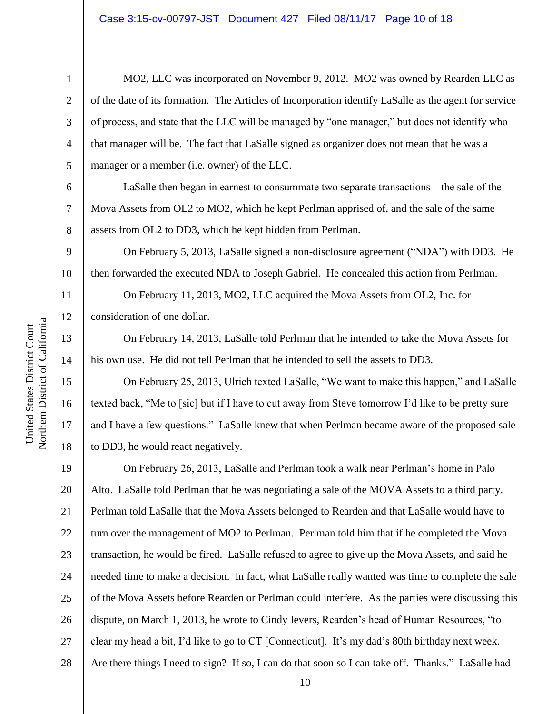7

8

11

12

13

14

15

16

17

18

1

MO2, LLC was incorporated on November 9, 2012. MO2 was owned by Rearden LLC as of the date of its formation. The Articles of Incorporation identify LaSalle as the agent for service of process, and state that the LLC will be managed by "one manager," but does not identify who that manager will be. The fact that LaSalle signed as organizer does not mean that he was a manager or a member (i.e. owner) of the LLC.

LaSalle then began in earnest to consummate two separate transactions  $-$  the sale of the Mova Assets from OL2 to MO2, which he kept Perlman apprised of, and the sale of the same assets from OL2 to DD3, which he kept hidden from Perlman.

9 10 On February 5, 2013, LaSalle signed a non-disclosure agreement ("NDA") with DD3. He then forwarded the executed NDA to Joseph Gabriel. He concealed this action from Perlman.

On February 11, 2013, MO2, LLC acquired the Mova Assets from OL2, Inc. for consideration of one dollar.

On February 14, 2013, LaSalle told Perlman that he intended to take the Mova Assets for his own use. He did not tell Perlman that he intended to sell the assets to DD3.

On February 25, 2013, Ulrich texted LaSalle, "We want to make this happen," and LaSalle texted back, "Me to [sic] but if I have to cut away from Steve tomorrow I'd like to be pretty sure and I have a few questions." LaSalle knew that when Perlman became aware of the proposed sale to DD3, he would react negatively.

19 20 21 22 23 24 25 26 27 28 On February 26, 2013, LaSalle and Perlman took a walk near Perlman's home in Palo Alto. LaSalle told Perlman that he was negotiating a sale of the MOVA Assets to a third party. Perlman told LaSalle that the Mova Assets belonged to Rearden and that LaSalle would have to turn over the management of MO2 to Perlman. Perlman told him that if he completed the Mova transaction, he would be fired. LaSalle refused to agree to give up the Mova Assets, and said he needed time to make a decision. In fact, what LaSalle really wanted was time to complete the sale of the Mova Assets before Rearden or Perlman could interfere. As the parties were discussing this dispute, on March 1, 2013, he wrote to Cindy Ievers, Rearden's head of Human Resources, "to clear my head a bit, I'd like to go to CT [Connecticut]. It's my dad's 80th birthday next week. Are there things I need to sign? If so, I can do that soon so I can take off. Thanks." LaSalle had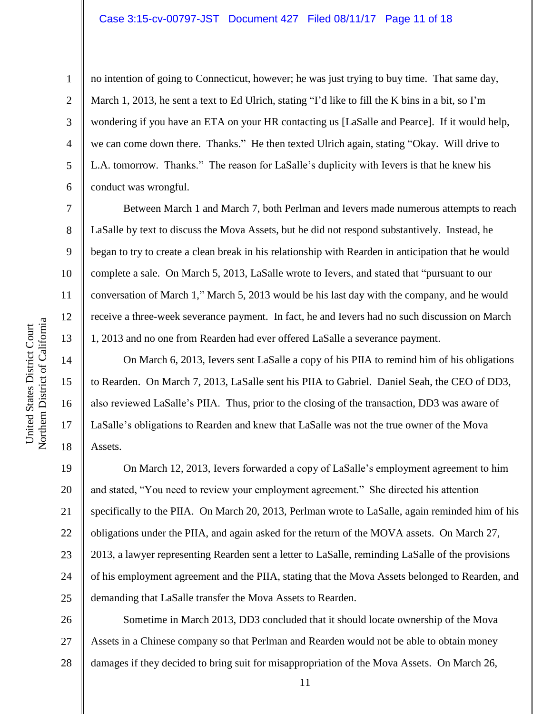## Case 3:15-cv-00797-JST Document 427 Filed 08/11/17 Page 11 of 18

no intention of going to Connecticut, however; he was just trying to buy time. That same day, March 1, 2013, he sent a text to Ed Ulrich, stating "I'd like to fill the K bins in a bit, so I'm wondering if you have an ETA on your HR contacting us [LaSalle and Pearce]. If it would help, we can come down there. Thanks." He then texted Ulrich again, stating "Okay. Will drive to L.A. tomorrow. Thanks." The reason for LaSalle's duplicity with Ievers is that he knew his conduct was wrongful.

Between March 1 and March 7, both Perlman and Ievers made numerous attempts to reach LaSalle by text to discuss the Mova Assets, but he did not respond substantively. Instead, he began to try to create a clean break in his relationship with Rearden in anticipation that he would complete a sale. On March 5, 2013, LaSalle wrote to Ievers, and stated that "pursuant to our conversation of March 1," March 5, 2013 would be his last day with the company, and he would receive a three-week severance payment. In fact, he and Ievers had no such discussion on March 1, 2013 and no one from Rearden had ever offered LaSalle a severance payment.

On March 6, 2013, Ievers sent LaSalle a copy of his PIIA to remind him of his obligations to Rearden. On March 7, 2013, LaSalle sent his PIIA to Gabriel. Daniel Seah, the CEO of DD3, also reviewed LaSalle's PIIA. Thus, prior to the closing of the transaction, DD3 was aware of LaSalle's obligations to Rearden and knew that LaSalle was not the true owner of the Mova Assets.

19 20 21 22 23 24 25 On March 12, 2013, Ievers forwarded a copy of LaSalle's employment agreement to him and stated, "You need to review your employment agreement." She directed his attention specifically to the PIIA. On March 20, 2013, Perlman wrote to LaSalle, again reminded him of his obligations under the PIIA, and again asked for the return of the MOVA assets. On March 27, 2013, a lawyer representing Rearden sent a letter to LaSalle, reminding LaSalle of the provisions of his employment agreement and the PIIA, stating that the Mova Assets belonged to Rearden, and demanding that LaSalle transfer the Mova Assets to Rearden.

26 27 28 Sometime in March 2013, DD3 concluded that it should locate ownership of the Mova Assets in a Chinese company so that Perlman and Rearden would not be able to obtain money damages if they decided to bring suit for misappropriation of the Mova Assets. On March 26,

1

2

3

4

5

6

7

8

9

10

11

12

13

14

15

16

17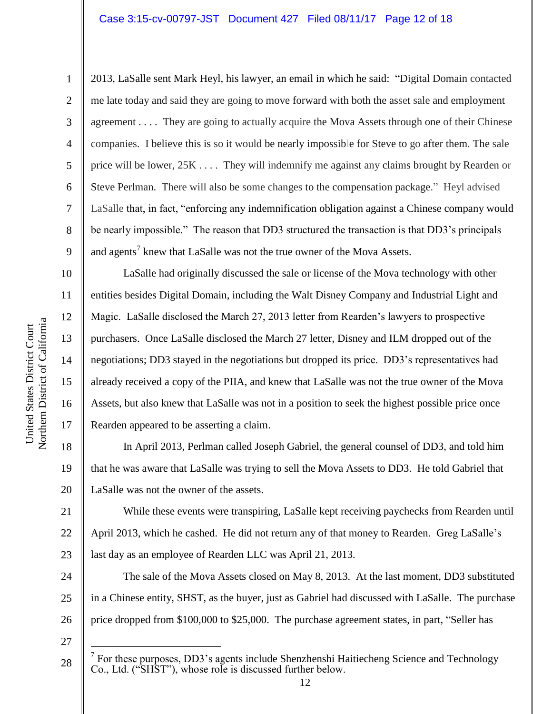1

2

3

4

5

6

7

8

9

16

17

18

19

20

21

2013, LaSalle sent Mark Heyl, his lawyer, an email in which he said: "Digital Domain contacted me late today and said they are going to move forward with both the asset sale and employment agreement . . . . They are going to actually acquire the Mova Assets through one of their Chinese companies. I believe this is so it would be nearly impossible for Steve to go after them. The sale price will be lower, 25K . . . . They will indemnify me against any claims brought by Rearden or Steve Perlman. There will also be some changes to the compensation package." Heyl advised LaSalle that, in fact, "enforcing any indemnification obligation against a Chinese company would be nearly impossible." The reason that DD3 structured the transaction is that DD3's principals and agents<sup>7</sup> knew that LaSalle was not the true owner of the Mova Assets.

LaSalle had originally discussed the sale or license of the Mova technology with other entities besides Digital Domain, including the Walt Disney Company and Industrial Light and Magic. LaSalle disclosed the March 27, 2013 letter from Rearden's lawyers to prospective purchasers. Once LaSalle disclosed the March 27 letter, Disney and ILM dropped out of the negotiations; DD3 stayed in the negotiations but dropped its price. DD3's representatives had already received a copy of the PIIA, and knew that LaSalle was not the true owner of the Mova Assets, but also knew that LaSalle was not in a position to seek the highest possible price once Rearden appeared to be asserting a claim.

In April 2013, Perlman called Joseph Gabriel, the general counsel of DD3, and told him that he was aware that LaSalle was trying to sell the Mova Assets to DD3. He told Gabriel that LaSalle was not the owner of the assets.

22 23 While these events were transpiring, LaSalle kept receiving paychecks from Rearden until April 2013, which he cashed. He did not return any of that money to Rearden. Greg LaSalle's last day as an employee of Rearden LLC was April 21, 2013.

24 25 26 The sale of the Mova Assets closed on May 8, 2013. At the last moment, DD3 substituted in a Chinese entity, SHST, as the buyer, just as Gabriel had discussed with LaSalle. The purchase price dropped from \$100,000 to \$25,000. The purchase agreement states, in part, "Seller has

27

 $\overline{a}$ 

 $7$  For these purposes, DD3's agents include Shenzhenshi Haitiecheng Science and Technology Co., Ltd. ("SHST"), whose role is discussed further below.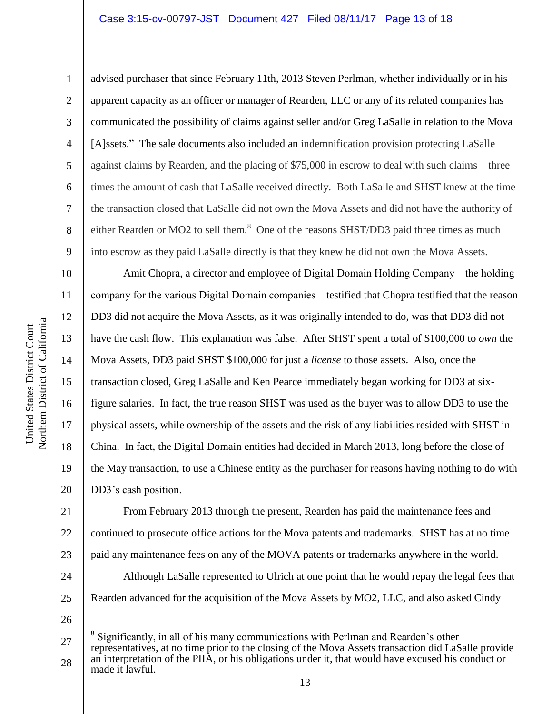## Case 3:15-cv-00797-JST Document 427 Filed 08/11/17 Page 13 of 18

Northern District of California Northern District of California United States District Court United States District Court

1

2

3

4

5

6

7

8

9

10

11

12

13

14

15

16

17

18

19

20

advised purchaser that since February 11th, 2013 Steven Perlman, whether individually or in his apparent capacity as an officer or manager of Rearden, LLC or any of its related companies has communicated the possibility of claims against seller and/or Greg LaSalle in relation to the Mova [A]ssets." The sale documents also included an indemnification provision protecting LaSalle against claims by Rearden, and the placing of \$75,000 in escrow to deal with such claims – three times the amount of cash that LaSalle received directly. Both LaSalle and SHST knew at the time the transaction closed that LaSalle did not own the Mova Assets and did not have the authority of either Rearden or MO2 to sell them.<sup>8</sup> One of the reasons SHST/DD3 paid three times as much into escrow as they paid LaSalle directly is that they knew he did not own the Mova Assets.

Amit Chopra, a director and employee of Digital Domain Holding Company – the holding company for the various Digital Domain companies – testified that Chopra testified that the reason DD3 did not acquire the Mova Assets, as it was originally intended to do, was that DD3 did not have the cash flow. This explanation was false. After SHST spent a total of \$100,000 to *own* the Mova Assets, DD3 paid SHST \$100,000 for just a *license* to those assets. Also, once the transaction closed, Greg LaSalle and Ken Pearce immediately began working for DD3 at sixfigure salaries. In fact, the true reason SHST was used as the buyer was to allow DD3 to use the physical assets, while ownership of the assets and the risk of any liabilities resided with SHST in China. In fact, the Digital Domain entities had decided in March 2013, long before the close of the May transaction, to use a Chinese entity as the purchaser for reasons having nothing to do with DD3's cash position.

21 22 23 24 25 From February 2013 through the present, Rearden has paid the maintenance fees and continued to prosecute office actions for the Mova patents and trademarks. SHST has at no time paid any maintenance fees on any of the MOVA patents or trademarks anywhere in the world. Although LaSalle represented to Ulrich at one point that he would repay the legal fees that Rearden advanced for the acquisition of the Mova Assets by MO2, LLC, and also asked Cindy

26

 $\overline{a}$ 

<sup>27</sup> 28 8 Significantly, in all of his many communications with Perlman and Rearden's other representatives, at no time prior to the closing of the Mova Assets transaction did LaSalle provide an interpretation of the PIIA, or his obligations under it, that would have excused his conduct or made it lawful.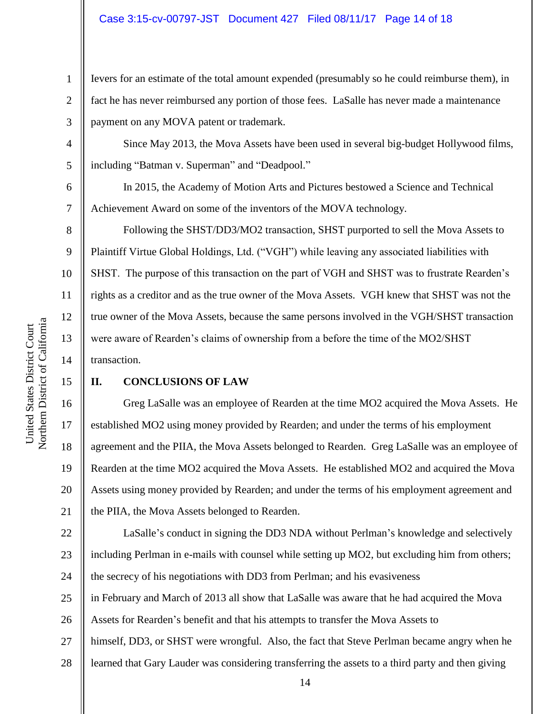## Case 3:15-cv-00797-JST Document 427 Filed 08/11/17 Page 14 of 18

Ievers for an estimate of the total amount expended (presumably so he could reimburse them), in fact he has never reimbursed any portion of those fees. LaSalle has never made a maintenance payment on any MOVA patent or trademark.

Since May 2013, the Mova Assets have been used in several big-budget Hollywood films, including "Batman v. Superman" and "Deadpool."

In 2015, the Academy of Motion Arts and Pictures bestowed a Science and Technical Achievement Award on some of the inventors of the MOVA technology.

Following the SHST/DD3/MO2 transaction, SHST purported to sell the Mova Assets to Plaintiff Virtue Global Holdings, Ltd. ("VGH") while leaving any associated liabilities with SHST. The purpose of this transaction on the part of VGH and SHST was to frustrate Rearden's rights as a creditor and as the true owner of the Mova Assets. VGH knew that SHST was not the true owner of the Mova Assets, because the same persons involved in the VGH/SHST transaction were aware of Rearden's claims of ownership from a before the time of the MO2/SHST transaction.

# **II. CONCLUSIONS OF LAW**

Greg LaSalle was an employee of Rearden at the time MO2 acquired the Mova Assets. He established MO2 using money provided by Rearden; and under the terms of his employment agreement and the PIIA, the Mova Assets belonged to Rearden. Greg LaSalle was an employee of Rearden at the time MO2 acquired the Mova Assets. He established MO2 and acquired the Mova Assets using money provided by Rearden; and under the terms of his employment agreement and the PIIA, the Mova Assets belonged to Rearden.

22 23 24 LaSalle's conduct in signing the DD3 NDA without Perlman's knowledge and selectively including Perlman in e-mails with counsel while setting up MO2, but excluding him from others; the secrecy of his negotiations with DD3 from Perlman; and his evasiveness

25 in February and March of 2013 all show that LaSalle was aware that he had acquired the Mova

26 Assets for Rearden's benefit and that his attempts to transfer the Mova Assets to

27 himself, DD3, or SHST were wrongful. Also, the fact that Steve Perlman became angry when he

28 learned that Gary Lauder was considering transferring the assets to a third party and then giving

1

2

3

4

5

6

7

8

9

10

11

12

13

14

15

16

17

18

19

20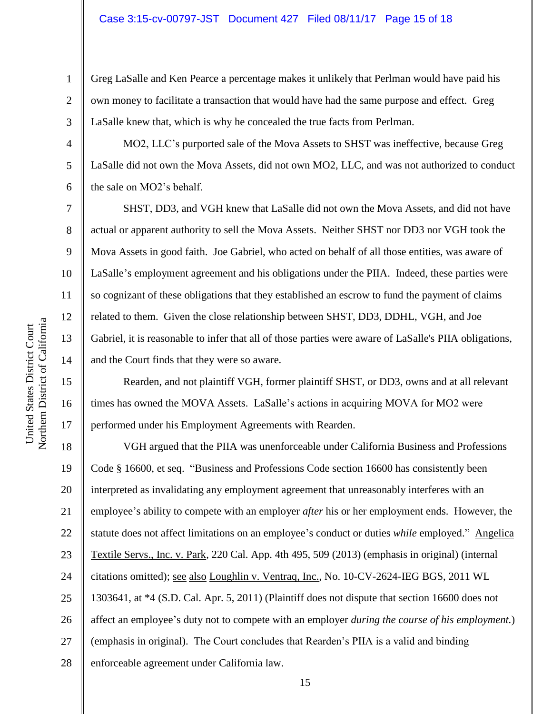Greg LaSalle and Ken Pearce a percentage makes it unlikely that Perlman would have paid his own money to facilitate a transaction that would have had the same purpose and effect. Greg LaSalle knew that, which is why he concealed the true facts from Perlman.

MO2, LLC's purported sale of the Mova Assets to SHST was ineffective, because Greg LaSalle did not own the Mova Assets, did not own MO2, LLC, and was not authorized to conduct the sale on MO2's behalf.

SHST, DD3, and VGH knew that LaSalle did not own the Mova Assets, and did not have actual or apparent authority to sell the Mova Assets. Neither SHST nor DD3 nor VGH took the Mova Assets in good faith. Joe Gabriel, who acted on behalf of all those entities, was aware of LaSalle's employment agreement and his obligations under the PIIA. Indeed, these parties were so cognizant of these obligations that they established an escrow to fund the payment of claims related to them. Given the close relationship between SHST, DD3, DDHL, VGH, and Joe Gabriel, it is reasonable to infer that all of those parties were aware of LaSalle's PIIA obligations, and the Court finds that they were so aware.

Rearden, and not plaintiff VGH, former plaintiff SHST, or DD3, owns and at all relevant times has owned the MOVA Assets. LaSalle's actions in acquiring MOVA for MO2 were performed under his Employment Agreements with Rearden.

18 19 20 21 22 23 24 25 26 27 28 VGH argued that the PIIA was unenforceable under California Business and Professions Code § 16600, et seq. "Business and Professions Code section 16600 has consistently been interpreted as invalidating any employment agreement that unreasonably interferes with an employee's ability to compete with an employer *after* his or her employment ends. However, the statute does not affect limitations on an employee's conduct or duties *while* employed." Angelica Textile Servs., Inc. v. Park, 220 Cal. App. 4th 495, 509 (2013) (emphasis in original) (internal citations omitted); see also Loughlin v. Ventraq, Inc., No. 10-CV-2624-IEG BGS, 2011 WL 1303641, at \*4 (S.D. Cal. Apr. 5, 2011) (Plaintiff does not dispute that section 16600 does not affect an employee's duty not to compete with an employer *during the course of his employment.*) (emphasis in original). The Court concludes that Rearden's PIIA is a valid and binding enforceable agreement under California law.

1

2

3

4

5

6

7

8

9

10

11

12

13

14

15

16

17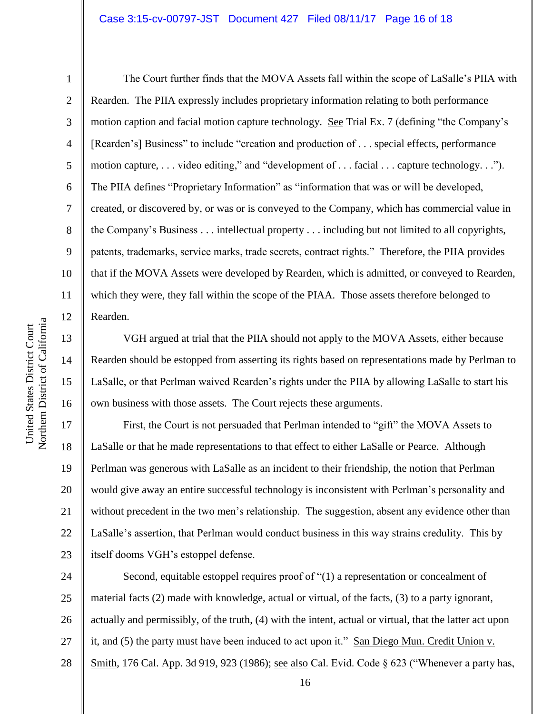#### Case 3:15-cv-00797-JST Document 427 Filed 08/11/17 Page 16 of 18

1

2

3

5

8

9

11

12

13

14

15

16

4 6 7 10 The Court further finds that the MOVA Assets fall within the scope of LaSalle's PIIA with Rearden. The PIIA expressly includes proprietary information relating to both performance motion caption and facial motion capture technology. See Trial Ex. 7 (defining "the Company's [Rearden's] Business" to include "creation and production of . . . special effects, performance motion capture, . . . video editing," and "development of . . . facial . . . capture technology. . ."). The PIIA defines "Proprietary Information" as "information that was or will be developed, created, or discovered by, or was or is conveyed to the Company, which has commercial value in the Company's Business . . . intellectual property . . . including but not limited to all copyrights, patents, trademarks, service marks, trade secrets, contract rights." Therefore, the PIIA provides that if the MOVA Assets were developed by Rearden, which is admitted, or conveyed to Rearden, which they were, they fall within the scope of the PIAA. Those assets therefore belonged to Rearden.

VGH argued at trial that the PIIA should not apply to the MOVA Assets, either because Rearden should be estopped from asserting its rights based on representations made by Perlman to LaSalle, or that Perlman waived Rearden's rights under the PIIA by allowing LaSalle to start his own business with those assets. The Court rejects these arguments.

17 18 19 20 21 22 23 First, the Court is not persuaded that Perlman intended to "gift" the MOVA Assets to LaSalle or that he made representations to that effect to either LaSalle or Pearce. Although Perlman was generous with LaSalle as an incident to their friendship, the notion that Perlman would give away an entire successful technology is inconsistent with Perlman's personality and without precedent in the two men's relationship. The suggestion, absent any evidence other than LaSalle's assertion, that Perlman would conduct business in this way strains credulity. This by itself dooms VGH's estoppel defense.

24 25 26 27 28 Second, equitable estoppel requires proof of "(1) a representation or concealment of material facts (2) made with knowledge, actual or virtual, of the facts, (3) to a party ignorant, actually and permissibly, of the truth, (4) with the intent, actual or virtual, that the latter act upon it, and (5) the party must have been induced to act upon it." San Diego Mun. Credit Union v. Smith, 176 Cal. App. 3d 919, 923 (1986); <u>see also</u> Cal. Evid. Code § 623 ("Whenever a party has,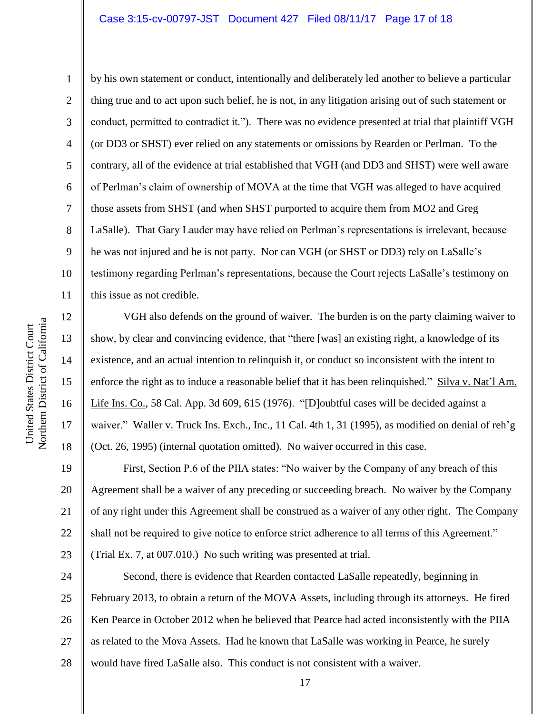## Case 3:15-cv-00797-JST Document 427 Filed 08/11/17 Page 17 of 18

1

2

3

5

8

9

11

12

13

14

15

16

17

18

4 6 7 10 by his own statement or conduct, intentionally and deliberately led another to believe a particular thing true and to act upon such belief, he is not, in any litigation arising out of such statement or conduct, permitted to contradict it."). There was no evidence presented at trial that plaintiff VGH (or DD3 or SHST) ever relied on any statements or omissions by Rearden or Perlman. To the contrary, all of the evidence at trial established that VGH (and DD3 and SHST) were well aware of Perlman's claim of ownership of MOVA at the time that VGH was alleged to have acquired those assets from SHST (and when SHST purported to acquire them from MO2 and Greg LaSalle). That Gary Lauder may have relied on Perlman's representations is irrelevant, because he was not injured and he is not party. Nor can VGH (or SHST or DD3) rely on LaSalle's testimony regarding Perlman's representations, because the Court rejects LaSalle's testimony on this issue as not credible.

VGH also defends on the ground of waiver. The burden is on the party claiming waiver to show, by clear and convincing evidence, that "there [was] an existing right, a knowledge of its existence, and an actual intention to relinquish it, or conduct so inconsistent with the intent to enforce the right as to induce a reasonable belief that it has been relinquished." Silva v. Nat'l Am. Life Ins. Co., 58 Cal. App. 3d 609, 615 (1976). "[D]oubtful cases will be decided against a waiver." Waller v. Truck Ins. Exch., Inc., 11 Cal. 4th 1, 31 (1995), as modified on denial of reh'g (Oct. 26, 1995) (internal quotation omitted). No waiver occurred in this case.

19 20 21 22 23 First, Section P.6 of the PIIA states: "No waiver by the Company of any breach of this Agreement shall be a waiver of any preceding or succeeding breach. No waiver by the Company of any right under this Agreement shall be construed as a waiver of any other right. The Company shall not be required to give notice to enforce strict adherence to all terms of this Agreement." (Trial Ex. 7, at 007.010.) No such writing was presented at trial.

24 25 26 27 28 Second, there is evidence that Rearden contacted LaSalle repeatedly, beginning in February 2013, to obtain a return of the MOVA Assets, including through its attorneys. He fired Ken Pearce in October 2012 when he believed that Pearce had acted inconsistently with the PIIA as related to the Mova Assets. Had he known that LaSalle was working in Pearce, he surely would have fired LaSalle also. This conduct is not consistent with a waiver.